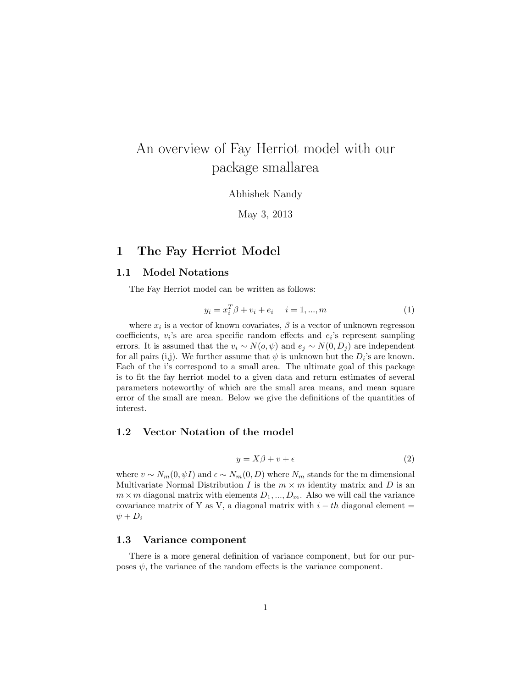# An overview of Fay Herriot model with our package smallarea

Abhishek Nandy

May 3, 2013

# 1 The Fay Herriot Model

### 1.1 Model Notations

The Fay Herriot model can be written as follows:

$$
y_i = x_i^T \beta + v_i + e_i \quad i = 1, ..., m
$$
 (1)

where  $x_i$  is a vector of known covariates,  $\beta$  is a vector of unknown regresson coefficients,  $v_i$ 's are area specific random effects and  $e_i$ 's represent sampling errors. It is assumed that the  $v_i \sim N(o, \psi)$  and  $e_j \sim N(0, D_j)$  are independent for all pairs (i,j). We further assume that  $\psi$  is unknown but the  $D_i$ 's are known. Each of the i's correspond to a small area. The ultimate goal of this package is to fit the fay herriot model to a given data and return estimates of several parameters noteworthy of which are the small area means, and mean square error of the small are mean. Below we give the definitions of the quantities of interest.

### 1.2 Vector Notation of the model

$$
y = X\beta + v + \epsilon \tag{2}
$$

where  $v \sim N_m(0, \psi I)$  and  $\epsilon \sim N_m(0, D)$  where  $N_m$  stands for the m dimensional Multivariate Normal Distribution I is the  $m \times m$  identity matrix and D is an  $m \times m$  diagonal matrix with elements  $D_1, ..., D_m$ . Also we will call the variance covariance matrix of Y as V, a diagonal matrix with  $i - th$  diagonal element =  $\psi + D_i$ 

### 1.3 Variance component

There is a more general definition of variance component, but for our purposes  $\psi$ , the variance of the random effects is the variance component.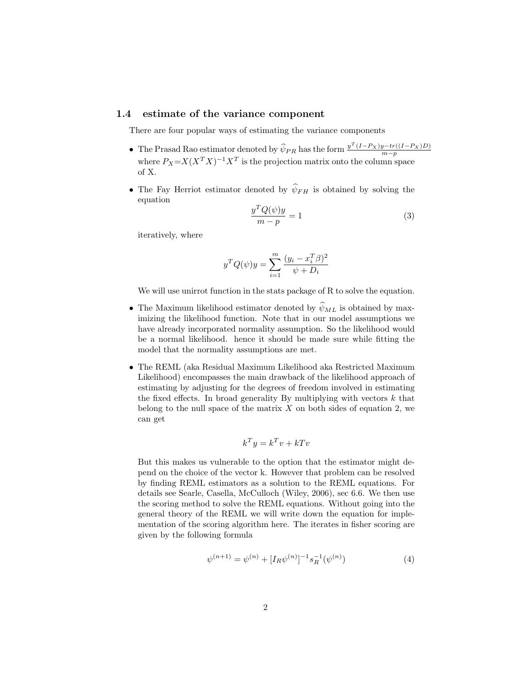# 1.4 estimate of the variance component

There are four popular ways of estimating the variance components

- The Prasad Rao estimator denoted by  $\hat{\psi}_{PR}$  has the form  $\frac{y^T (I-P_X) y tr((I-P_X)D)}{m-p}$  where  $P_X = X(X^T X)^{-1} X^T$  is the projection matrix onto the column space of X.
- The Fay Herriot estimator denoted by  $\widehat{\psi}_{FH}$  is obtained by solving the equation

$$
\frac{y^T Q(\psi)y}{m - p} = 1\tag{3}
$$

iteratively, where

$$
y^{T} Q(\psi) y = \sum_{i=1}^{m} \frac{(y_i - x_i^{T} \beta)^{2}}{\psi + D_i}
$$

We will use unirrot function in the stats package of R to solve the equation.

- The Maximum likelihood estimator denoted by  $\widehat{\psi}_{ML}$  is obtained by maximizing the likelihood function. Note that in our model assumptions we have already incorporated normality assumption. So the likelihood would be a normal likelihood. hence it should be made sure while fitting the model that the normality assumptions are met.
- The REML (aka Residual Maximum Likelihood aka Restricted Maximum Likelihood) encompasses the main drawback of the likelihood approach of estimating by adjusting for the degrees of freedom involved in estimating the fixed effects. In broad generality By multiplying with vectors  $k$  that belong to the null space of the matrix  $X$  on both sides of equation 2, we can get

$$
k^T y = k^T v + kT v
$$

But this makes us vulnerable to the option that the estimator might depend on the choice of the vector k. However that problem can be resolved by finding REML estimators as a solution to the REML equations. For details see Searle, Casella, McCulloch (Wiley, 2006), sec 6.6. We then use the scoring method to solve the REML equations. Without going into the general theory of the REML we will write down the equation for implementation of the scoring algorithm here. The iterates in fisher scoring are given by the following formula

$$
\psi^{(n+1)} = \psi^{(n)} + [I_R \psi^{(n)}]^{-1} s_R^{-1}(\psi^{(n)}) \tag{4}
$$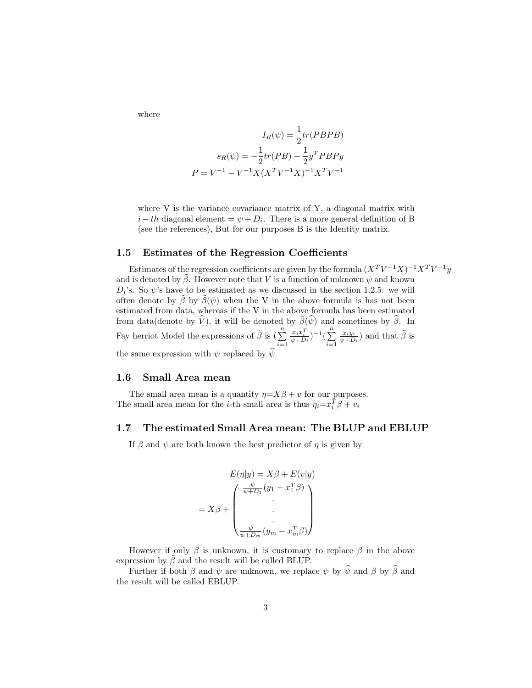where

$$
I_R(\psi) = \frac{1}{2}tr(PBPB)
$$

$$
s_R(\psi) = -\frac{1}{2}tr(PB) + \frac{1}{2}y^T PBPy
$$

$$
P = V^{-1} - V^{-1}X(X^TV^{-1}X)^{-1}X^TV^{-1}
$$

where V is the variance covariance matrix of Y, a diagonal matrix with  $i-th$  diagonal element =  $\psi + D_i$ . There is a more general definition of B (see the references), But for our purposes B is the Identity matrix.

# 1.5 Estimates of the Regression Coefficients

Estimates of the regression coefficients are given by the formula  $(X^T V^{-1} X)^{-1} X^T V^{-1} y$ and is denoted by  $\beta$ . However note that V is a function of unknown  $\psi$  and known  $D_i$ 's. So  $\psi$ 's have to be estimated as we discussed in the section 1.2.5. we will often denote by  $\hat{\beta}$  by  $\hat{\beta}(\psi)$  when the V in the above formula is has not been estimated from data, whereas if the V in the above formula has been estimated from data(denote by  $\hat{V}$ ), it will be denoted by  $\tilde{\beta}(\hat{\psi})$  and sometimes by  $\hat{\beta}$ . In Fay herriot Model the expressions of  $\tilde{\beta}$  is  $(\sum_{n=1}^{n}$  $i=1$  $\frac{x_i x_i^T}{\psi + D_i}$ )<sup>-1</sup>( $\sum_{i=1}^n$  $i=1$  $\frac{x_i y_i}{\psi + D_i}$ ) and that  $\widehat{\beta}$  is the same expression with  $\psi$  replaced by  $\widehat{\psi}$ 

### 1.6 Small Area mean

The small area mean is a quantity  $\eta = X\beta + v$  for our purposes. The small area mean for the *i*-th small area is thus  $\eta_i = x_i^T \beta + v_i$ 

### 1.7 The estimated Small Area mean: The BLUP and EBLUP

If  $\beta$  and  $\psi$  are both known the best predictor of  $\eta$  is given by

$$
E(\eta|y) = X\beta + E(v|y)
$$

$$
= X\beta + \begin{pmatrix} \frac{\psi}{\psi + D_1}(y_1 - x_1^T \beta) \\ \vdots \\ \frac{\psi}{\psi + D_m}(y_m - x_m^T \beta) \end{pmatrix}
$$

However if only  $\beta$  is unknown, it is customary to replace  $\beta$  in the above expression by  $\tilde{\beta}$  and the result will be called BLUP.

Further if both  $\beta$  and  $\psi$  are unknown, we replace  $\psi$  by  $\widehat{\psi}$  and  $\beta$  by  $\widehat{\beta}$  and the result will be called EBLUP.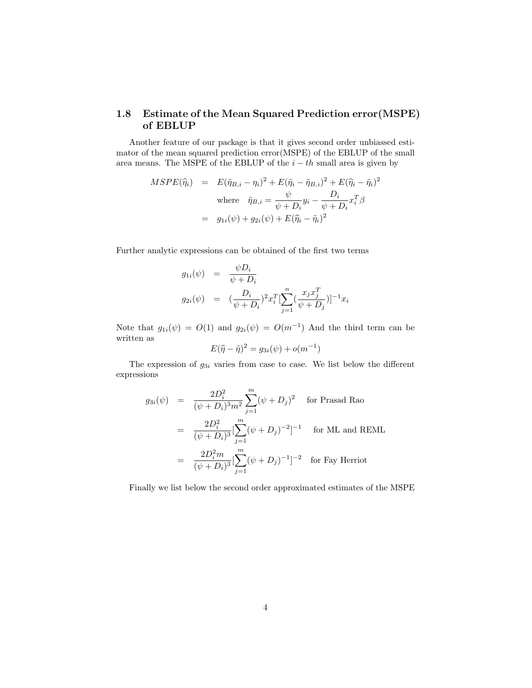# 1.8 Estimate of the Mean Squared Prediction error(MSPE) of EBLUP

Another feature of our package is that it gives second order unbiassed estimator of the mean squared prediction error(MSPE) of the EBLUP of the small area means. The MSPE of the EBLUP of the  $i - th$  small area is given by

$$
MSPE(\widehat{\eta}_i) = E(\widetilde{\eta}_{B,i} - \eta_i)^2 + E(\widetilde{\eta}_i - \widetilde{\eta}_{B,i})^2 + E(\widehat{\eta}_i - \widetilde{\eta}_i)^2
$$
  
where 
$$
\widetilde{\eta}_{B,i} = \frac{\psi}{\psi + D_i} y_i - \frac{D_i}{\psi + D_i} x_i^T \beta
$$

$$
= g_{1i}(\psi) + g_{2i}(\psi) + E(\widehat{\eta}_i - \widetilde{\eta}_i)^2
$$

Further analytic expressions can be obtained of the first two terms

$$
g_{1i}(\psi) = \frac{\psi D_i}{\psi + D_i}
$$
  
\n
$$
g_{2i}(\psi) = (\frac{D_i}{\psi + D_i})^2 x_i^T \left[ \sum_{j=1}^n (\frac{x_j x_j^T}{\psi + D_j}) \right]^{-1} x_i
$$

Note that  $g_{1i}(\psi) = O(1)$  and  $g_{2i}(\psi) = O(m^{-1})$  And the third term can be written as

$$
E(\widehat{\eta} - \widetilde{\eta})^2 = g_{3i}(\psi) + o(m^{-1})
$$

The expression of  $g_{3i}$  varies from case to case. We list below the different expressions

$$
g_{3i}(\psi) = \frac{2D_i^2}{(\psi + D_i)^3 m^2} \sum_{j=1}^m (\psi + D_j)^2 \quad \text{for Prasad Rao}
$$
  
= 
$$
\frac{2D_i^2}{(\psi + D_i)^3} [\sum_{j=1}^m (\psi + D_j)^{-2}]^{-1} \quad \text{for ML and REML}
$$
  
= 
$$
\frac{2D_i^2 m}{(\psi + D_i)^3} [\sum_{j=1}^m (\psi + D_j)^{-1}]^{-2} \quad \text{for Fay Herriot}
$$

Finally we list below the second order approximated estimates of the MSPE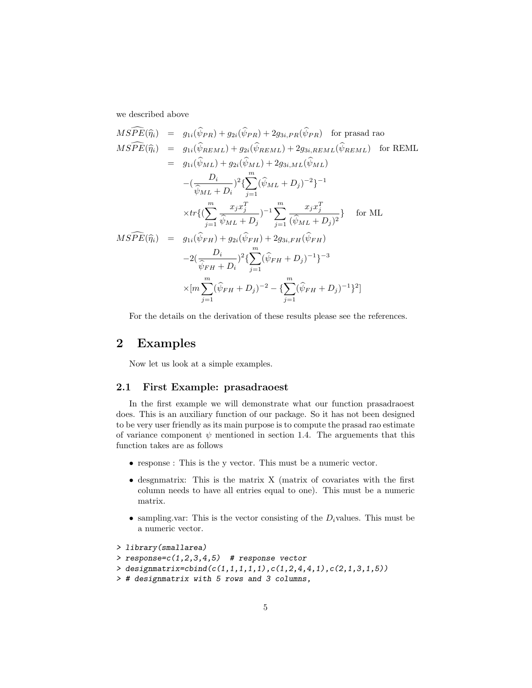we described above

$$
MSPE(\hat{\eta}_i) = g_{1i}(\hat{\psi}_{PR}) + g_{2i}(\hat{\psi}_{PR}) + 2g_{3i,PR}(\hat{\psi}_{PR}) \text{ for prasad rao}
$$
  
\n
$$
MSPE(\hat{\eta}_i) = g_{1i}(\hat{\psi}_{REML}) + g_{2i}(\hat{\psi}_{REML}) + 2g_{3i,REML}(\hat{\psi}_{REML}) \text{ for REML}
$$
  
\n
$$
= g_{1i}(\hat{\psi}_{ML}) + g_{2i}(\hat{\psi}_{ML}) + 2g_{3i,ML}(\hat{\psi}_{ML})
$$
  
\n
$$
-(\frac{D_i}{\hat{\psi}_{ML} + D_i})^2 \left\{ \sum_{j=1}^m (\hat{\psi}_{ML} + D_j)^{-2} \right\}^{-1}
$$
  
\n
$$
\times tr \left\{ (\sum_{j=1}^m \frac{x_j x_j^T}{\hat{\psi}_{ML} + D_j})^{-1} \sum_{j=1}^m \frac{x_j x_j^T}{(\hat{\psi}_{ML} + D_j)^2} \right\} \text{ for ML}
$$
  
\n
$$
MSPE(\hat{\eta}_i) = g_{1i}(\hat{\psi}_{FH}) + g_{2i}(\hat{\psi}_{FH}) + 2g_{3i,FH}(\hat{\psi}_{FH})
$$
  
\n
$$
-2(\frac{D_i}{\hat{\psi}_{FH} + D_i})^2 \left\{ \sum_{j=1}^m (\hat{\psi}_{FH} + D_j)^{-1} \right\}^{-3}
$$
  
\n
$$
\times [m \sum_{j=1}^m (\hat{\psi}_{FH} + D_j)^{-2} - \left\{ \sum_{j=1}^m (\hat{\psi}_{FH} + D_j)^{-1} \right\}^2 ]
$$

For the details on the derivation of these results please see the references.

# 2 Examples

Now let us look at a simple examples.

### 2.1 First Example: prasadraoest

In the first example we will demonstrate what our function prasadraoest does. This is an auxiliary function of our package. So it has not been designed to be very user friendly as its main purpose is to compute the prasad rao estimate of variance component  $\psi$  mentioned in section 1.4. The arguements that this function takes are as follows

- response : This is the y vector. This must be a numeric vector.
- desgnmatrix: This is the matrix X (matrix of covariates with the first column needs to have all entries equal to one). This must be a numeric matrix.
- sampling.var: This is the vector consisting of the  $D_i$  values. This must be a numeric vector.

```
> library(smallarea)
```

```
> response=c(1,2,3,4,5) # response vector
```
> designmatrix=cbind(c(1,1,1,1,1),c(1,2,4,4,1),c(2,1,3,1,5))

```
> # designmatrix with 5 rows and 3 columns,
```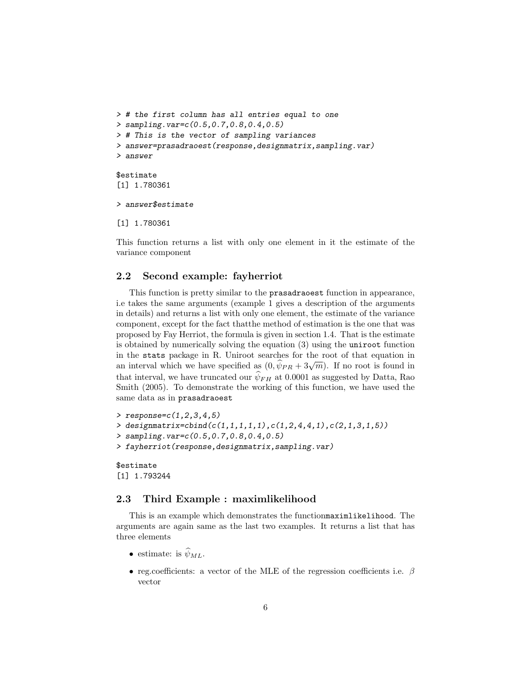```
> # the first column has all entries equal to one
> sampling.var=c(0.5,0.7,0.8,0.4,0.5)
> # This is the vector of sampling variances
> answer=prasadraoest(response,designmatrix,sampling.var)
> answer
$estimate
[1] 1.780361
> answer$estimate
```

```
[1] 1.780361
```
This function returns a list with only one element in it the estimate of the variance component

### 2.2 Second example: fayherriot

This function is pretty similar to the prasadraoest function in appearance, i.e takes the same arguments (example 1 gives a description of the arguments in details) and returns a list with only one element, the estimate of the variance component, except for the fact thatthe method of estimation is the one that was proposed by Fay Herriot, the formula is given in section 1.4. That is the estimate is obtained by numerically solving the equation (3) using the uniroot function in the stats package in R. Uniroot searches for the root of that equation in an interval which we have specified as  $(0, \hat{\psi}_{PR} + 3\sqrt{m})$ . If no root is found in that interval, we have truncated our  $\widehat{\psi}_{FH}$  at 0.0001 as suggested by Datta, Rao Smith (2005). To demonstrate the working of this function, we have used the same data as in prasadraoest

```
> response=c(1, 2, 3, 4, 5)> designmatrix=cbind(c(1,1,1,1,1),c(1,2,4,4,1),c(2,1,3,1,5))
> sampling.var=c(0.5,0.7,0.8,0.4,0.5)
> fayherriot(response,designmatrix,sampling.var)
```
\$estimate [1] 1.793244

### 2.3 Third Example : maximlikelihood

This is an example which demonstrates the functionmaximlikelihood. The arguments are again same as the last two examples. It returns a list that has three elements

- estimate: is  $\widehat{\psi}_{ML}$ .
- reg.coefficients: a vector of the MLE of the regression coefficients i.e.  $\beta$ vector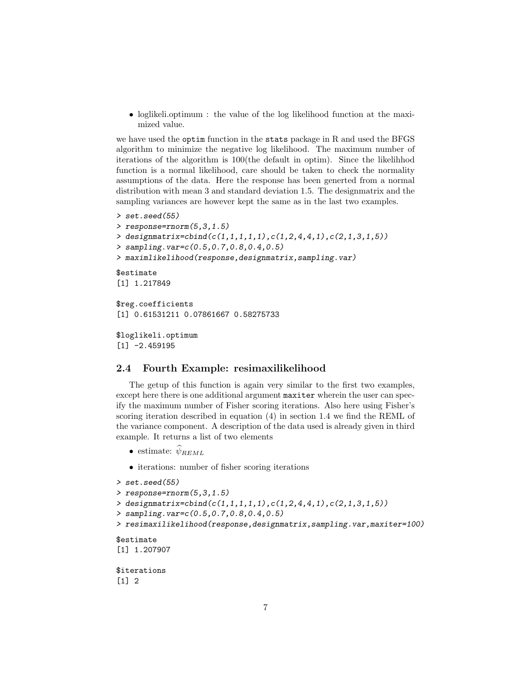• loglikeli.optimum : the value of the log likelihood function at the maximized value.

we have used the optim function in the stats package in R and used the BFGS algorithm to minimize the negative log likelihood. The maximum number of iterations of the algorithm is 100(the default in optim). Since the likelihhod function is a normal likelihood, care should be taken to check the normality assumptions of the data. Here the response has been generted from a normal distribution with mean 3 and standard deviation 1.5. The designmatrix and the sampling variances are however kept the same as in the last two examples.

```
> set.seed(55)
> response=rnorm(5,3,1.5)
> designmatrix=cbind(c(1,1,1,1,1),c(1,2,4,4,1),c(2,1,3,1,5))
> sampling.var=c(0.5,0.7,0.8,0.4,0.5)
> maximlikelihood(response,designmatrix,sampling.var)
$estimate
[1] 1.217849
$reg.coefficients
[1] 0.61531211 0.07861667 0.58275733
$loglikeli.optimum
[1] -2.459195
```
#### 2.4 Fourth Example: resimaxilikelihood

The getup of this function is again very similar to the first two examples, except here there is one additional argument maxiter wherein the user can specify the maximum number of Fisher scoring iterations. Also here using Fisher's scoring iteration described in equation (4) in section 1.4 we find the REML of the variance component. A description of the data used is already given in third example. It returns a list of two elements

- estimate:  $\widehat{\psi}_{REML}$
- iterations: number of fisher scoring iterations

```
> set.seed(55)
```

```
> response=rnorm(5,3,1.5)
```
> designmatrix=cbind(c(1,1,1,1,1),c(1,2,4,4,1),c(2,1,3,1,5))

```
> sampling.var=c(0.5,0.7,0.8,0.4,0.5)
```
> resimaxilikelihood(response,designmatrix,sampling.var,maxiter=100)

\$estimate

```
[1] 1.207907
```
\$iterations [1] 2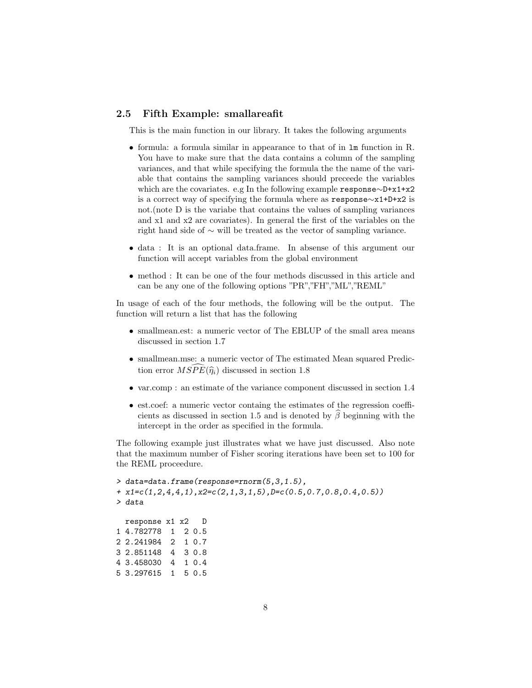### 2.5 Fifth Example: smallareafit

This is the main function in our library. It takes the following arguments

- formula: a formula similar in appearance to that of in lm function in R. You have to make sure that the data contains a column of the sampling variances, and that while specifying the formula the the name of the variable that contains the sampling variances should preceede the variables which are the covariates. e.g In the following example response∼D+x1+x2 is a correct way of specifying the formula where as response∼x1+D+x2 is not.(note D is the variabe that contains the values of sampling variances and x1 and x2 are covariates). In general the first of the variables on the right hand side of ∼ will be treated as the vector of sampling variance.
- data : It is an optional data.frame. In absense of this argument our function will accept variables from the global environment
- method : It can be one of the four methods discussed in this article and can be any one of the following options "PR","FH","ML","REML"

In usage of each of the four methods, the following will be the output. The function will return a list that has the following

- smallmean.est: a numeric vector of The EBLUP of the small area means discussed in section 1.7
- smallmean.mse: a numeric vector of The estimated Mean squared Prediction error  $M\widetilde{SPE}(\widehat{\eta}_i)$  discussed in section 1.8
- var.comp : an estimate of the variance component discussed in section 1.4
- est.coef: a numeric vector containg the estimates of the regression coefficients as discussed in section 1.5 and is denoted by  $\hat{\beta}$  beginning with the intercept in the order as specified in the formula.

The following example just illustrates what we have just discussed. Also note that the maximum number of Fisher scoring iterations have been set to 100 for the REML proceedure.

```
> data=data.frame(response=rnorm(5,3,1.5),
+ x1 = c(1, 2, 4, 4, 1), x2 = c(2, 1, 3, 1, 5), D = c(0.5, 0.7, 0.8, 0.4, 0.5))> data
 response x1 x2 D
1 4.782778 1 2 0.5
2 2.241984 2 1 0.7
3 2.851148 4 3 0.8
4 3.458030 4 1 0.4
5 3.297615 1 5 0.5
```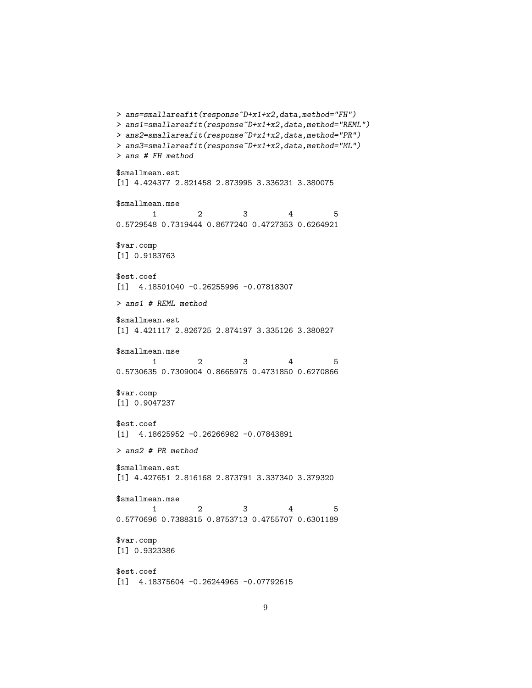```
> ans=smallareafit(response~D+x1+x2,data,method="FH")
> ans1=smallareafit(response~D+x1+x2,data,method="REML")
> ans2=smallareafit(response~D+x1+x2,data,method="PR")
> ans3=smallareafit(response~D+x1+x2,data,method="ML")
> ans # FH method
$smallmean.est
[1] 4.424377 2.821458 2.873995 3.336231 3.380075
$smallmean.mse
       1 2 3 4 5
0.5729548 0.7319444 0.8677240 0.4727353 0.6264921
$var.comp
[1] 0.9183763
$est.coef
[1] 4.18501040 -0.26255996 -0.07818307
> ans1 # REML method
$smallmean.est
[1] 4.421117 2.826725 2.874197 3.335126 3.380827
$smallmean.mse
       1 2 3 4 5
0.5730635 0.7309004 0.8665975 0.4731850 0.6270866
$var.comp
[1] 0.9047237
$est.coef
[1] 4.18625952 -0.26266982 -0.07843891
> ans2 # PR method
$smallmean.est
[1] 4.427651 2.816168 2.873791 3.337340 3.379320
$smallmean.mse
       1 2 3 4 5
0.5770696 0.7388315 0.8753713 0.4755707 0.6301189
$var.comp
[1] 0.9323386
$est.coef
```
[1] 4.18375604 -0.26244965 -0.07792615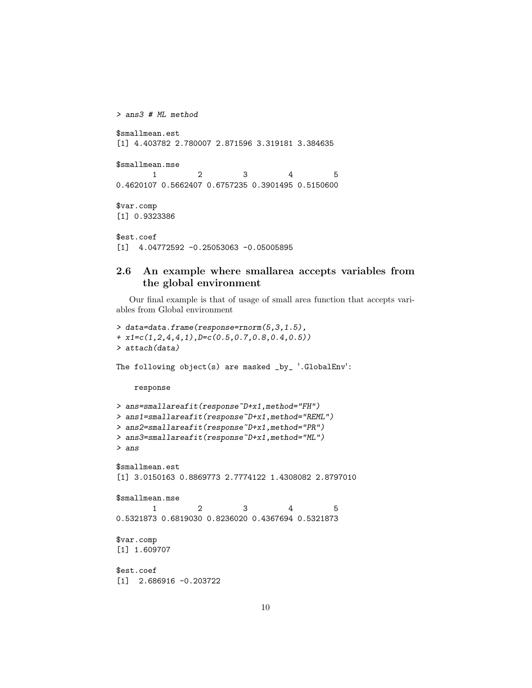```
> ans3 # ML method
$smallmean.est
[1] 4.403782 2.780007 2.871596 3.319181 3.384635
$smallmean.mse
      1 2 3 4 5
0.4620107 0.5662407 0.6757235 0.3901495 0.5150600
$var.comp
[1] 0.9323386
$est.coef
[1] 4.04772592 -0.25053063 -0.05005895
```
# 2.6 An example where smallarea accepts variables from the global environment

Our final example is that of usage of small area function that accepts variables from Global environment

```
> data=data.frame(response=rnorm(5,3,1.5),
+ x1=c(1,2,4,4,1),D=c(0.5,0.7,0.8,0.4,0.5))
> attach(data)
The following object(s) are masked _by_ '.GlobalEnv':
   response
> ans=smallareafit(response~D+x1,method="FH")
> ans1=smallareafit(response~D+x1,method="REML")
> ans2=smallareafit(response~D+x1,method="PR")
> ans3=smallareafit(response~D+x1,method="ML")
> ans
$smallmean.est
[1] 3.0150163 0.8869773 2.7774122 1.4308082 2.8797010
$smallmean.mse
        1 2 3 4 5
0.5321873 0.6819030 0.8236020 0.4367694 0.5321873
$var.comp
[1] 1.609707
$est.coef
[1] 2.686916 -0.203722
```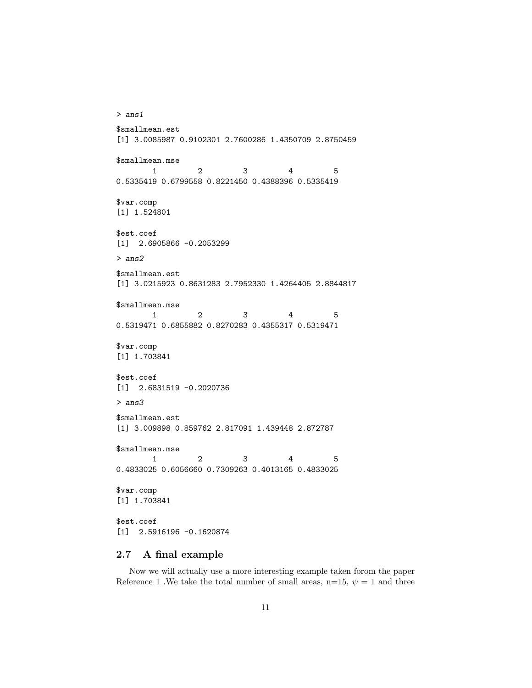```
> ans1
$smallmean.est
[1] 3.0085987 0.9102301 2.7600286 1.4350709 2.8750459
$smallmean.mse
       1 2 3 4 5
0.5335419 0.6799558 0.8221450 0.4388396 0.5335419
$var.comp
[1] 1.524801
$est.coef
[1] 2.6905866 -0.2053299
> ans2
$smallmean.est
[1] 3.0215923 0.8631283 2.7952330 1.4264405 2.8844817
$smallmean.mse
       1 2 3 4 5
0.5319471 0.6855882 0.8270283 0.4355317 0.5319471
$var.comp
[1] 1.703841
$est.coef
[1] 2.6831519 -0.2020736
> ans3
$smallmean.est
[1] 3.009898 0.859762 2.817091 1.439448 2.872787
$smallmean.mse
       1 2 3 4 5
0.4833025 0.6056660 0.7309263 0.4013165 0.4833025
$var.comp
[1] 1.703841
$est.coef
[1] 2.5916196 -0.1620874
```
# 2.7 A final example

Now we will actually use a more interesting example taken forom the paper Reference 1 .We take the total number of small areas,  $n=15, \psi = 1$  and three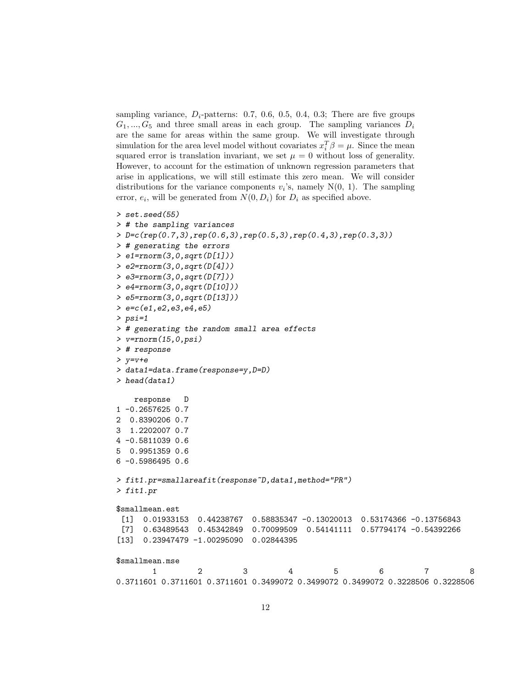sampling variance,  $D_i$ -patterns: 0.7, 0.6, 0.5, 0.4, 0.3; There are five groups  $G_1, ..., G_5$  and three small areas in each group. The sampling variances  $D_i$ are the same for areas within the same group. We will investigate through simulation for the area level model without covariates  $x_i^T \beta = \mu$ . Since the mean squared error is translation invariant, we set  $\mu = 0$  without loss of generality. However, to account for the estimation of unknown regression parameters that arise in applications, we will still estimate this zero mean. We will consider distributions for the variance components  $v_i$ 's, namely N(0, 1). The sampling error,  $e_i$ , will be generated from  $N(0, D_i)$  for  $D_i$  as specified above.

```
> set.seed(55)
> # the sampling variances
> D=c(rep(0.7,3),rep(0.6,3),rep(0.5,3),rep(0.4,3),rep(0.3,3))
> # generating the errors
> e1=rnorm(3,0,sqrt(D[1]))
> e2=rnorm(3,0,sqrt(D[4]))
> e3=rnorm(3,0,sqrt(D[7]))
> e4=rnorm(3,0,sqrt(D[10]))
> e5=rnorm(3,0,sqrt(D[13]))
> e=c(e1,e2,e3,e4,e5)
> psi=1
> # generating the random small area effects
> v=rnorm(15, 0, \text{psi})> # response
> y=v+e
> data1=data.frame(response=y,D=D)
> head(data1)
   response D
1 -0.2657625 0.7
2 0.8390206 0.7
3 1.2202007 0.7
4 -0.5811039 0.6
5 0.9951359 0.6
6 -0.5986495 0.6
> fit1.pr=smallareafit(response~D,data1,method="PR")
> fit1.pr
$smallmean.est
 [1] 0.01933153 0.44238767 0.58835347 -0.13020013 0.53174366 -0.13756843
 [7] 0.63489543 0.45342849 0.70099509 0.54141111 0.57794174 -0.54392266
[13] 0.23947479 -1.00295090 0.02844395
$smallmean.mse
       1 2 3 4 5 6 7 8
0.3711601 0.3711601 0.3711601 0.3499072 0.3499072 0.3499072 0.3228506 0.3228506
```